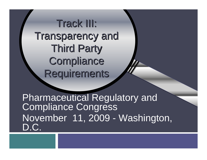### Track III: Transparency and Transparency and **Third Party** Compliance **Requirements**

Pharmaceutical Regulatory and Compliance Congress November 11, 2009 - Washington, D.C.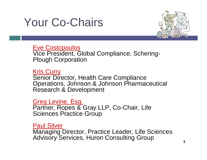## Your Co-Chairs



Eve Costopoulos Vice President, Global Compliance, Schering-Plough Corporation

Kris Curry Senior Director, Health Care Compliance Operations, Johnson & Johnson Pharmaceutical Research & Development

Greg Levine, Esq. Partner, Ropes & Gray LLP, Co-Chair, Life Sciences Practice Group

#### Paul Silver

Managing Director, Practice Leader, Life Sciences Advisory Services, Huron Consulting Group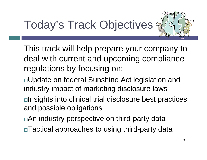# Today's Track Objectives



This track will help prepare your company to deal with current and upcoming compliance regulations by focusing on:

- Update on federal Sunshine Act legislation and industry impact of marketing disclosure laws
- $\Box$ Insights into clinical trial disclosure best practices and possible obligations
- □ An industry perspective on third-party data
- Tactical approaches to using third-party data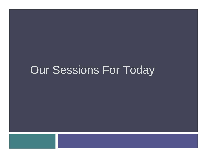#### Our Sessions For Today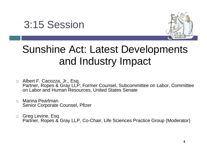



#### Sunshine Act: Latest Developments and Industry Impact

- □ Albert F. Cacozza, Jr., Esq. Partner, Ropes & Gray LLP; Former Counsel, Subcommittee on Labor, Committee on Labor and Human Resources, United States Senate
- $\Box$  Marina Pearlman Senior Corporate Counsel, Pfizer
- $\Box$  Greg Levine, Esq. Partner, Ropes & Gray LLP, Co-Chair, Life Sciences Practice Group (Moderator)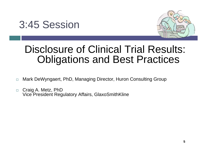



#### Disclosure of Clinical Trial Results: Obligations and Best Practices

- $\Box$ Mark DeWyngaert, PhD, Managing Director, Huron Consulting Group
- $\Box$  Craig A. Metz, PhD Vice President Regulatory Affairs, GlaxoSmithKline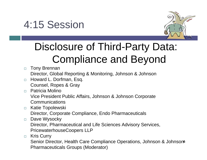



#### Disclosure of Third-Party Data: Compliance and Beyond

- $\Box$  Tony Brennan Director, Global Reporting & Monitoring, Johnson & Johnson
- $\Box$  Howard L. Dorfman, Esq. Counsel, Ropes & Gray
- $\Box$  Patricia Molino Vice President Public Affairs, Johnson & Johnson Corporate **Communications**
- $\Box$  Katie Topolewski Director, Corporate Compliance, Endo Pharmaceuticals
- $\Box$  Dave Wysocky Director, Pharmaceutical and Life Sciences Advisory Services, PricewaterhouseCoopers LLP
- $\Box$ Kris Curry

Senior Director, Health Care Compliance Operations, Johnson & Johnson **6**Pharmaceuticals Groups (Moderator)